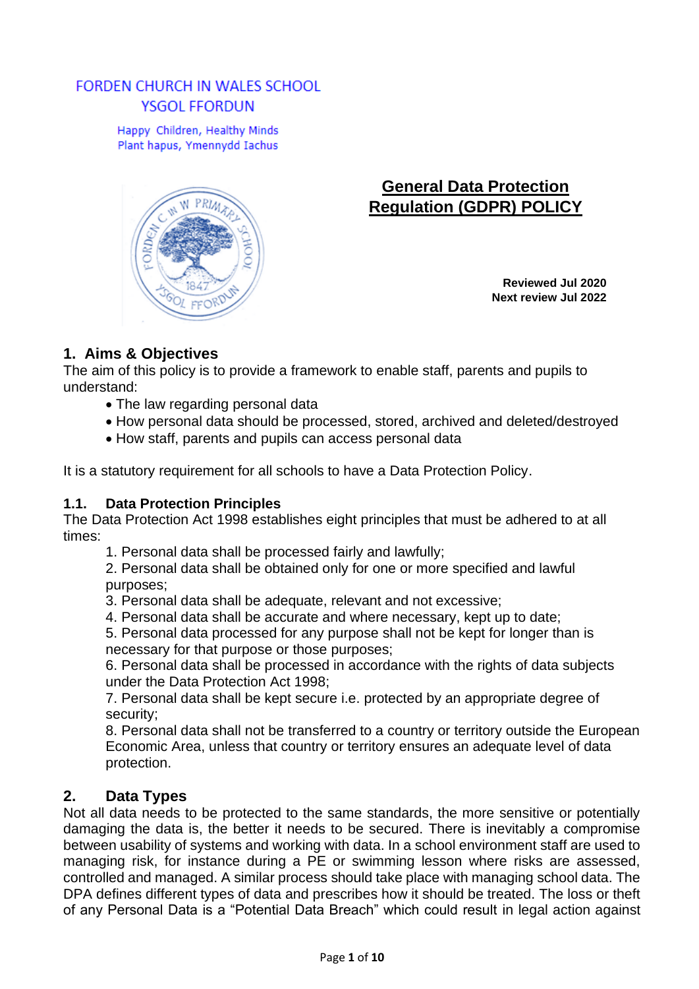# **FORDEN CHURCH IN WALES SCHOOL YSGOL FFORDUN**

Happy Children, Healthy Minds Plant hapus, Ymennydd Iachus



# **General Data Protection Regulation (GDPR) POLICY**

**Reviewed Jul 2020 Next review Jul 2022**

# **1. Aims & Objectives**

The aim of this policy is to provide a framework to enable staff, parents and pupils to understand:

- The law regarding personal data
- How personal data should be processed, stored, archived and deleted/destroyed
- How staff, parents and pupils can access personal data

It is a statutory requirement for all schools to have a Data Protection Policy.

# **1.1. Data Protection Principles**

The Data Protection Act 1998 establishes eight principles that must be adhered to at all times:

1. Personal data shall be processed fairly and lawfully;

2. Personal data shall be obtained only for one or more specified and lawful purposes;

- 3. Personal data shall be adequate, relevant and not excessive;
- 4. Personal data shall be accurate and where necessary, kept up to date;

5. Personal data processed for any purpose shall not be kept for longer than is necessary for that purpose or those purposes;

6. Personal data shall be processed in accordance with the rights of data subjects under the Data Protection Act 1998;

7. Personal data shall be kept secure i.e. protected by an appropriate degree of security;

8. Personal data shall not be transferred to a country or territory outside the European Economic Area, unless that country or territory ensures an adequate level of data protection.

# **2. Data Types**

Not all data needs to be protected to the same standards, the more sensitive or potentially damaging the data is, the better it needs to be secured. There is inevitably a compromise between usability of systems and working with data. In a school environment staff are used to managing risk, for instance during a PE or swimming lesson where risks are assessed, controlled and managed. A similar process should take place with managing school data. The DPA defines different types of data and prescribes how it should be treated. The loss or theft of any Personal Data is a "Potential Data Breach" which could result in legal action against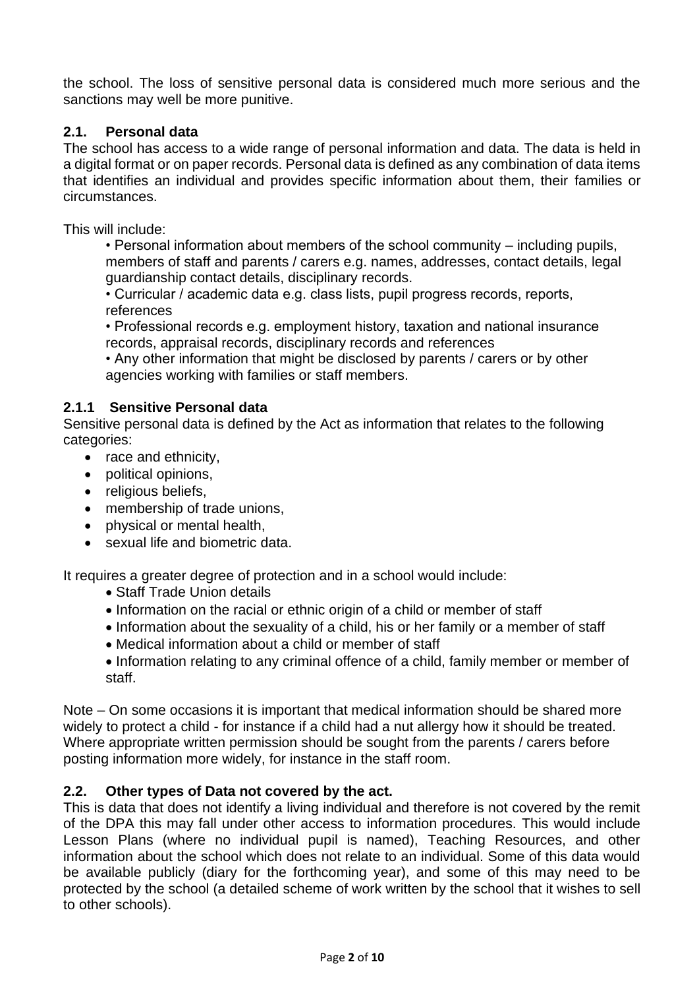the school. The loss of sensitive personal data is considered much more serious and the sanctions may well be more punitive.

## **2.1. Personal data**

The school has access to a wide range of personal information and data. The data is held in a digital format or on paper records. Personal data is defined as any combination of data items that identifies an individual and provides specific information about them, their families or circumstances.

This will include:

• Personal information about members of the school community – including pupils, members of staff and parents / carers e.g. names, addresses, contact details, legal guardianship contact details, disciplinary records.

• Curricular / academic data e.g. class lists, pupil progress records, reports, references

• Professional records e.g. employment history, taxation and national insurance records, appraisal records, disciplinary records and references

• Any other information that might be disclosed by parents / carers or by other agencies working with families or staff members.

#### **2.1.1 Sensitive Personal data**

Sensitive personal data is defined by the Act as information that relates to the following categories:

- race and ethnicity,
- political opinions,
- religious beliefs,
- membership of trade unions,
- physical or mental health,
- sexual life and biometric data.

It requires a greater degree of protection and in a school would include:

- Staff Trade Union details
- Information on the racial or ethnic origin of a child or member of staff
- Information about the sexuality of a child, his or her family or a member of staff
- Medical information about a child or member of staff
- Information relating to any criminal offence of a child, family member or member of staff.

Note – On some occasions it is important that medical information should be shared more widely to protect a child - for instance if a child had a nut allergy how it should be treated. Where appropriate written permission should be sought from the parents / carers before posting information more widely, for instance in the staff room.

## **2.2. Other types of Data not covered by the act.**

This is data that does not identify a living individual and therefore is not covered by the remit of the DPA this may fall under other access to information procedures. This would include Lesson Plans (where no individual pupil is named), Teaching Resources, and other information about the school which does not relate to an individual. Some of this data would be available publicly (diary for the forthcoming year), and some of this may need to be protected by the school (a detailed scheme of work written by the school that it wishes to sell to other schools).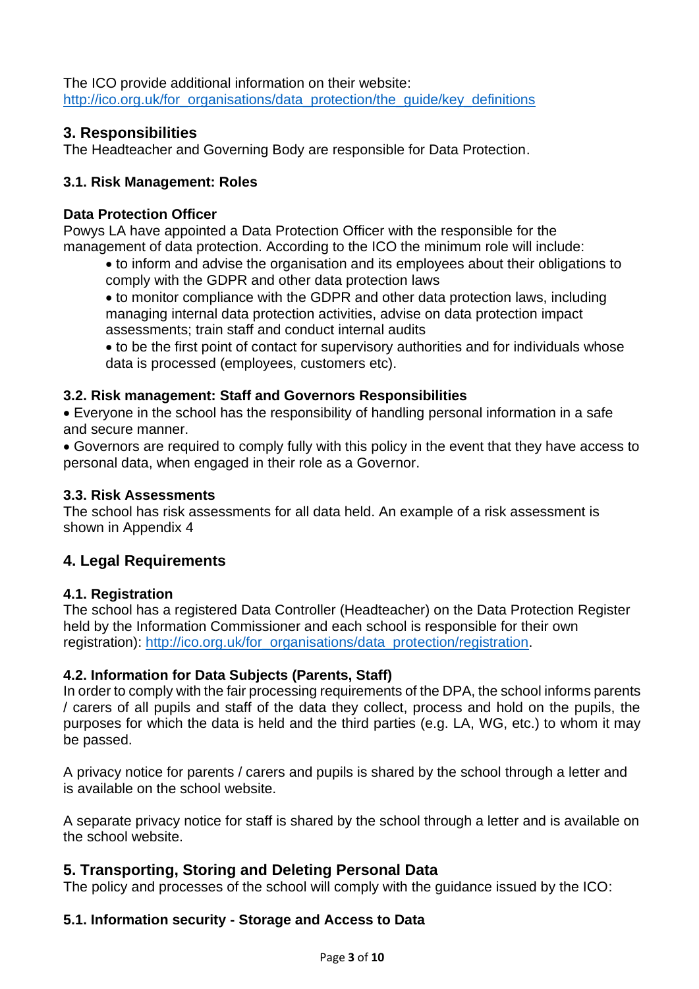The ICO provide additional information on their website: [http://ico.org.uk/for\\_organisations/data\\_protection/the\\_guide/key\\_definitions](http://ico.org.uk/for_organisations/data_protection/the_guide/key_definitions)

# **3. Responsibilities**

The Headteacher and Governing Body are responsible for Data Protection.

## **3.1. Risk Management: Roles**

## **Data Protection Officer**

Powys LA have appointed a Data Protection Officer with the responsible for the management of data protection. According to the ICO the minimum role will include:

• to inform and advise the organisation and its employees about their obligations to comply with the GDPR and other data protection laws

• to monitor compliance with the GDPR and other data protection laws, including managing internal data protection activities, advise on data protection impact assessments; train staff and conduct internal audits

• to be the first point of contact for supervisory authorities and for individuals whose data is processed (employees, customers etc).

## **3.2. Risk management: Staff and Governors Responsibilities**

• Everyone in the school has the responsibility of handling personal information in a safe and secure manner.

• Governors are required to comply fully with this policy in the event that they have access to personal data, when engaged in their role as a Governor.

## **3.3. Risk Assessments**

The school has risk assessments for all data held. An example of a risk assessment is shown in Appendix 4

# **4. Legal Requirements**

## **4.1. Registration**

The school has a registered Data Controller (Headteacher) on the Data Protection Register held by the Information Commissioner and each school is responsible for their own registration): [http://ico.org.uk/for\\_organisations/data\\_protection/registration.](http://ico.org.uk/for_organisations/data_protection/registration)

## **4.2. Information for Data Subjects (Parents, Staff)**

In order to comply with the fair processing requirements of the DPA, the school informs parents / carers of all pupils and staff of the data they collect, process and hold on the pupils, the purposes for which the data is held and the third parties (e.g. LA, WG, etc.) to whom it may be passed.

A privacy notice for parents / carers and pupils is shared by the school through a letter and is available on the school website.

A separate privacy notice for staff is shared by the school through a letter and is available on the school website.

# **5. Transporting, Storing and Deleting Personal Data**

The policy and processes of the school will comply with the guidance issued by the ICO:

## **5.1. Information security - Storage and Access to Data**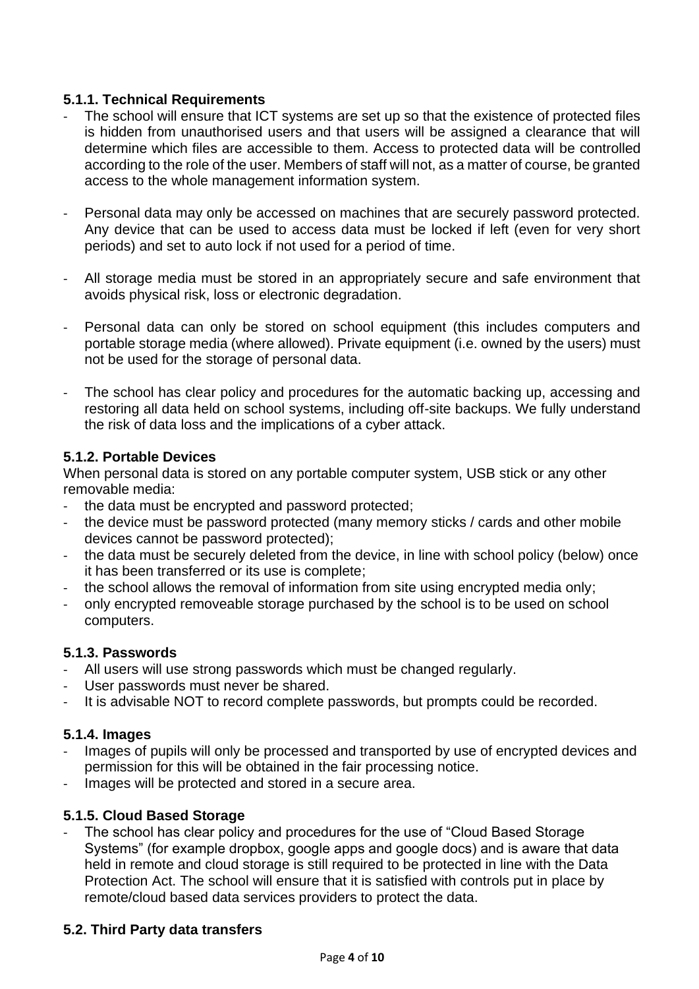## **5.1.1. Technical Requirements**

- The school will ensure that ICT systems are set up so that the existence of protected files is hidden from unauthorised users and that users will be assigned a clearance that will determine which files are accessible to them. Access to protected data will be controlled according to the role of the user. Members of staff will not, as a matter of course, be granted access to the whole management information system.
- Personal data may only be accessed on machines that are securely password protected. Any device that can be used to access data must be locked if left (even for very short periods) and set to auto lock if not used for a period of time.
- All storage media must be stored in an appropriately secure and safe environment that avoids physical risk, loss or electronic degradation.
- Personal data can only be stored on school equipment (this includes computers and portable storage media (where allowed). Private equipment (i.e. owned by the users) must not be used for the storage of personal data.
- The school has clear policy and procedures for the automatic backing up, accessing and restoring all data held on school systems, including off-site backups. We fully understand the risk of data loss and the implications of a cyber attack.

## **5.1.2. Portable Devices**

When personal data is stored on any portable computer system, USB stick or any other removable media:

- the data must be encrypted and password protected;
- the device must be password protected (many memory sticks / cards and other mobile devices cannot be password protected);
- the data must be securely deleted from the device, in line with school policy (below) once it has been transferred or its use is complete;
- the school allows the removal of information from site using encrypted media only;
- only encrypted removeable storage purchased by the school is to be used on school computers.

# **5.1.3. Passwords**

- All users will use strong passwords which must be changed regularly.
- User passwords must never be shared.
- It is advisable NOT to record complete passwords, but prompts could be recorded.

# **5.1.4. Images**

- Images of pupils will only be processed and transported by use of encrypted devices and permission for this will be obtained in the fair processing notice.
- Images will be protected and stored in a secure area.

# **5.1.5. Cloud Based Storage**

The school has clear policy and procedures for the use of "Cloud Based Storage" Systems" (for example dropbox, google apps and google docs) and is aware that data held in remote and cloud storage is still required to be protected in line with the Data Protection Act. The school will ensure that it is satisfied with controls put in place by remote/cloud based data services providers to protect the data.

# **5.2. Third Party data transfers**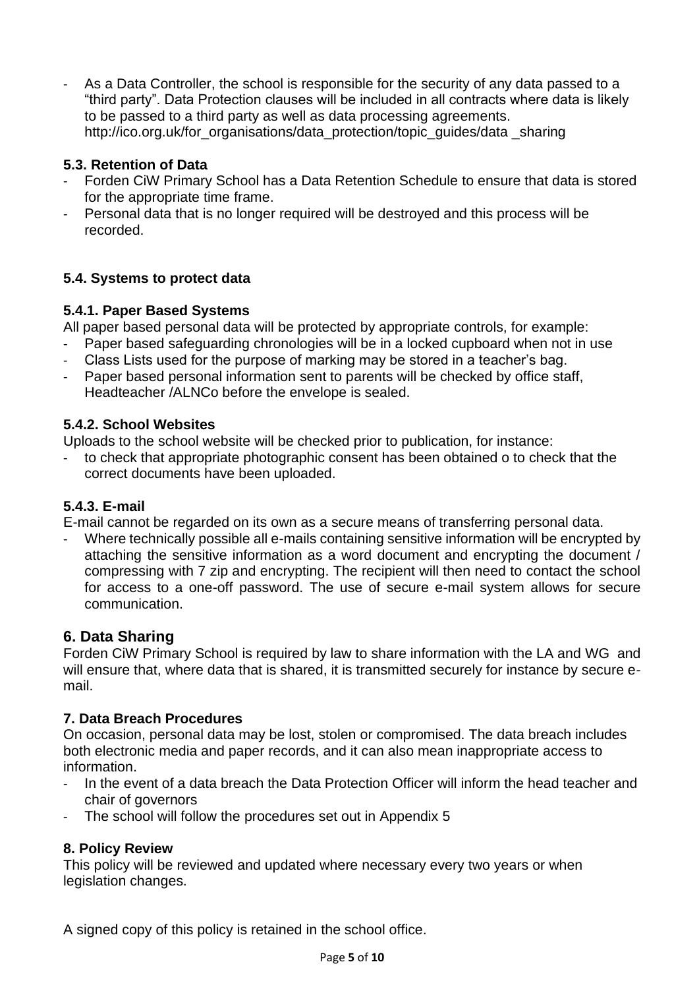As a Data Controller, the school is responsible for the security of any data passed to a "third party". Data Protection clauses will be included in all contracts where data is likely to be passed to a third party as well as data processing agreements. http://ico.org.uk/for\_organisations/data\_protection/topic\_guides/data \_sharing

## **5.3. Retention of Data**

- Forden CiW Primary School has a Data Retention Schedule to ensure that data is stored for the appropriate time frame.
- Personal data that is no longer required will be destroyed and this process will be recorded.

## **5.4. Systems to protect data**

## **5.4.1. Paper Based Systems**

All paper based personal data will be protected by appropriate controls, for example:

Paper based safeguarding chronologies will be in a locked cupboard when not in use

- Class Lists used for the purpose of marking may be stored in a teacher's bag.
- Paper based personal information sent to parents will be checked by office staff, Headteacher /ALNCo before the envelope is sealed.

## **5.4.2. School Websites**

Uploads to the school website will be checked prior to publication, for instance:

to check that appropriate photographic consent has been obtained o to check that the correct documents have been uploaded.

# **5.4.3. E-mail**

E-mail cannot be regarded on its own as a secure means of transferring personal data.

Where technically possible all e-mails containing sensitive information will be encrypted by attaching the sensitive information as a word document and encrypting the document / compressing with 7 zip and encrypting. The recipient will then need to contact the school for access to a one-off password. The use of secure e-mail system allows for secure communication.

# **6. Data Sharing**

Forden CiW Primary School is required by law to share information with the LA and WG and will ensure that, where data that is shared, it is transmitted securely for instance by secure email.

## **7. Data Breach Procedures**

On occasion, personal data may be lost, stolen or compromised. The data breach includes both electronic media and paper records, and it can also mean inappropriate access to information.

- In the event of a data breach the Data Protection Officer will inform the head teacher and chair of governors
- The school will follow the procedures set out in Appendix 5

## **8. Policy Review**

This policy will be reviewed and updated where necessary every two years or when legislation changes.

A signed copy of this policy is retained in the school office.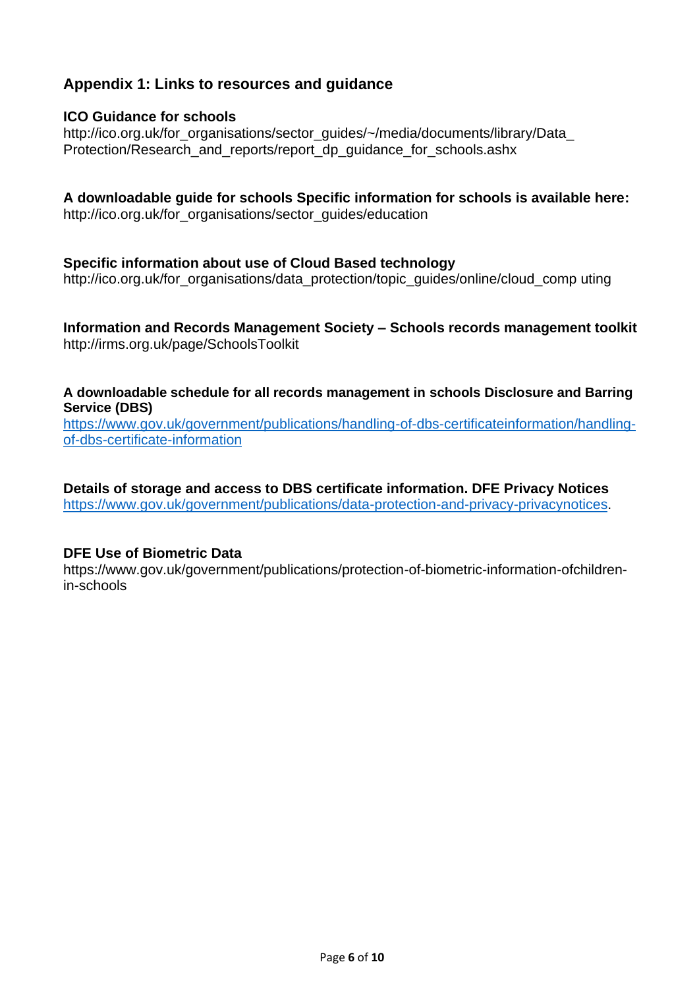# **Appendix 1: Links to resources and guidance**

## **ICO Guidance for schools**

http://ico.org.uk/for\_organisations/sector\_guides/~/media/documents/library/Data\_ Protection/Research\_and\_reports/report\_dp\_guidance\_for\_schools.ashx

**A downloadable guide for schools Specific information for schools is available here:** http://ico.org.uk/for\_organisations/sector\_guides/education

#### **Specific information about use of Cloud Based technology**

http://ico.org.uk/for\_organisations/data\_protection/topic\_guides/online/cloud\_comp uting

**Information and Records Management Society – Schools records management toolkit** http://irms.org.uk/page/SchoolsToolkit

**A downloadable schedule for all records management in schools Disclosure and Barring Service (DBS)** 

[https://www.gov.uk/government/publications/handling-of-dbs-certificateinformation/handling](https://www.gov.uk/government/publications/handling-of-dbs-certificateinformation/handling-of-dbs-certificate-information)[of-dbs-certificate-information](https://www.gov.uk/government/publications/handling-of-dbs-certificateinformation/handling-of-dbs-certificate-information)

**Details of storage and access to DBS certificate information. DFE Privacy Notices** [https://www.gov.uk/government/publications/data-protection-and-privacy-privacynotices.](https://www.gov.uk/government/publications/data-protection-and-privacy-privacynotices)

#### **DFE Use of Biometric Data**

https://www.gov.uk/government/publications/protection-of-biometric-information-ofchildrenin-schools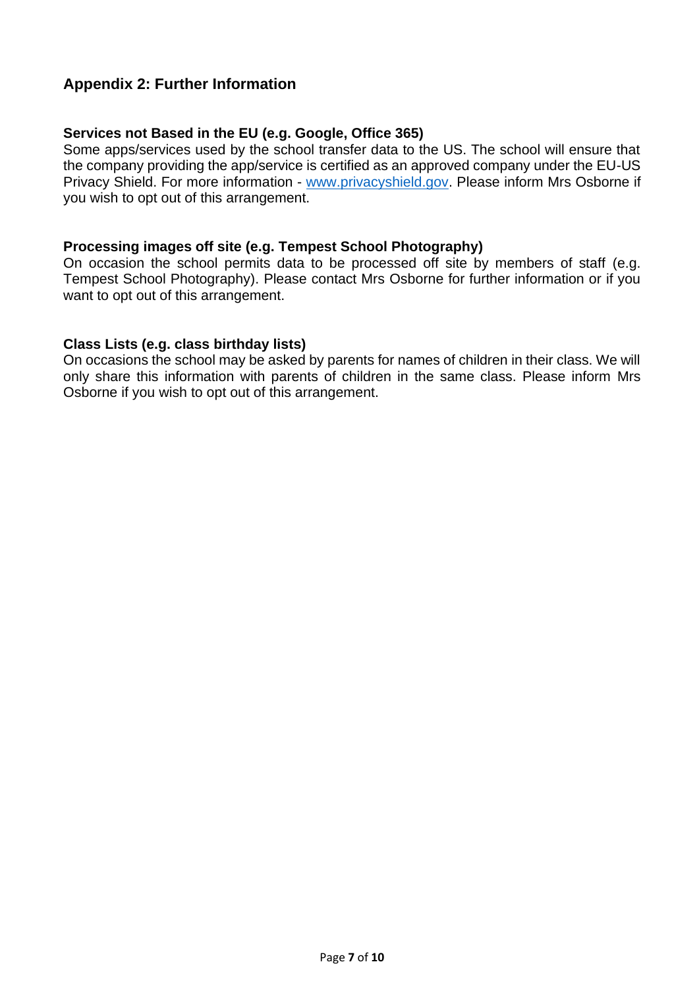# **Appendix 2: Further Information**

#### **Services not Based in the EU (e.g. Google, Office 365)**

Some apps/services used by the school transfer data to the US. The school will ensure that the company providing the app/service is certified as an approved company under the EU-US Privacy Shield. For more information - [www.privacyshield.gov.](http://www.privacyshield.gov/) Please inform Mrs Osborne if you wish to opt out of this arrangement.

#### **Processing images off site (e.g. Tempest School Photography)**

On occasion the school permits data to be processed off site by members of staff (e.g. Tempest School Photography). Please contact Mrs Osborne for further information or if you want to opt out of this arrangement.

#### **Class Lists (e.g. class birthday lists)**

On occasions the school may be asked by parents for names of children in their class. We will only share this information with parents of children in the same class. Please inform Mrs Osborne if you wish to opt out of this arrangement.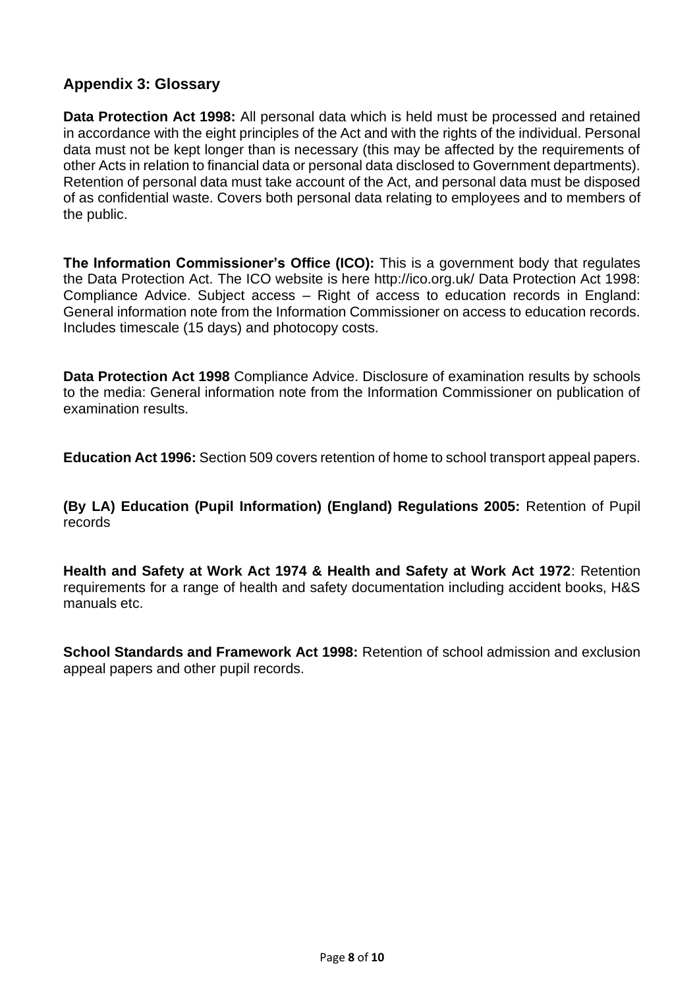# **Appendix 3: Glossary**

**Data Protection Act 1998:** All personal data which is held must be processed and retained in accordance with the eight principles of the Act and with the rights of the individual. Personal data must not be kept longer than is necessary (this may be affected by the requirements of other Acts in relation to financial data or personal data disclosed to Government departments). Retention of personal data must take account of the Act, and personal data must be disposed of as confidential waste. Covers both personal data relating to employees and to members of the public.

**The Information Commissioner's Office (ICO):** This is a government body that regulates the Data Protection Act. The ICO website is here http://ico.org.uk/ Data Protection Act 1998: Compliance Advice. Subject access – Right of access to education records in England: General information note from the Information Commissioner on access to education records. Includes timescale (15 days) and photocopy costs.

**Data Protection Act 1998** Compliance Advice. Disclosure of examination results by schools to the media: General information note from the Information Commissioner on publication of examination results.

**Education Act 1996:** Section 509 covers retention of home to school transport appeal papers.

**(By LA) Education (Pupil Information) (England) Regulations 2005:** Retention of Pupil records

**Health and Safety at Work Act 1974 & Health and Safety at Work Act 1972**: Retention requirements for a range of health and safety documentation including accident books, H&S manuals etc.

**School Standards and Framework Act 1998:** Retention of school admission and exclusion appeal papers and other pupil records.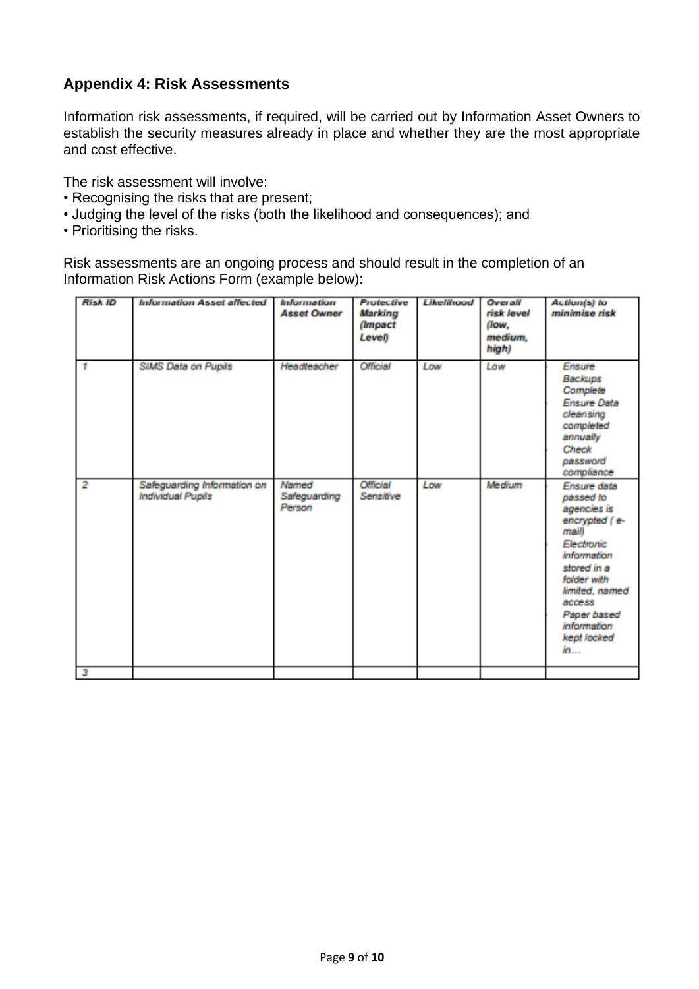# **Appendix 4: Risk Assessments**

Information risk assessments, if required, will be carried out by Information Asset Owners to establish the security measures already in place and whether they are the most appropriate and cost effective.

The risk assessment will involve:

- Recognising the risks that are present;
- Judging the level of the risks (both the likelihood and consequences); and
- Prioritising the risks.

Risk assessments are an ongoing process and should result in the completion of an Information Risk Actions Form (example below):

| <b>Risk ID</b> | <b>Information Asset affected</b>                       | <b>Information</b><br><b>Asset Owner</b> | <b>Profective</b><br>Markino<br><i>(Impact</i> )<br>Level) | Likelihood | Overall<br>rick lovel<br>flow.<br>medium.<br>high) | Action(s) to<br>minimise risk                                                                                                                                                                                             |
|----------------|---------------------------------------------------------|------------------------------------------|------------------------------------------------------------|------------|----------------------------------------------------|---------------------------------------------------------------------------------------------------------------------------------------------------------------------------------------------------------------------------|
| -1             | <b>SIMS Data on Pupils</b>                              | Headleacher                              | Official                                                   | <b>Low</b> | Tow                                                | <b>Frisure</b><br><b>Backups</b><br>Complete<br><b>Ensure Data</b><br>cleansing<br>completed<br>annually<br><b>Check</b><br>password<br>compliance                                                                        |
| $\overline{2}$ | Safeguarding Information on<br><b>Individual Pupils</b> | Named<br>Safeguarding<br>Person          | Official<br>Sensitive                                      | I not      | Medium                                             | <b>Ensure data</b><br>passed to<br>agencies is<br>encrypted (e-<br>maill<br><b>Electronic</b><br>information<br>stored in a<br>folder with<br>limited, named<br>access<br>Paper based<br>information<br>kept locked<br>in |
| Э              |                                                         |                                          |                                                            |            |                                                    |                                                                                                                                                                                                                           |